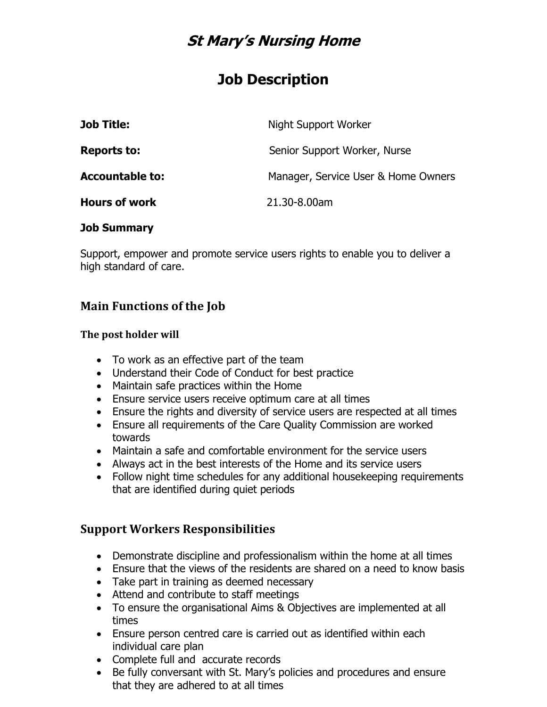# **St Mary's Nursing Home**

# **Job Description**

| <b>Job Title:</b>      | Night Support Worker                |
|------------------------|-------------------------------------|
| <b>Reports to:</b>     | Senior Support Worker, Nurse        |
| <b>Accountable to:</b> | Manager, Service User & Home Owners |
| <b>Hours of work</b>   | 21.30-8.00am                        |

#### **Job Summary**

Support, empower and promote service users rights to enable you to deliver a high standard of care.

## **Main Functions of the Job**

#### **The post holder will**

- To work as an effective part of the team
- Understand their Code of Conduct for best practice
- Maintain safe practices within the Home
- Ensure service users receive optimum care at all times
- Ensure the rights and diversity of service users are respected at all times
- Ensure all requirements of the Care Quality Commission are worked towards
- Maintain a safe and comfortable environment for the service users
- Always act in the best interests of the Home and its service users
- Follow night time schedules for any additional housekeeping requirements that are identified during quiet periods

### **Support Workers Responsibilities**

- Demonstrate discipline and professionalism within the home at all times
- Ensure that the views of the residents are shared on a need to know basis
- Take part in training as deemed necessary
- Attend and contribute to staff meetings
- To ensure the organisational Aims & Objectives are implemented at all times
- Ensure person centred care is carried out as identified within each individual care plan
- Complete full and accurate records
- Be fully conversant with St. Mary's policies and procedures and ensure that they are adhered to at all times